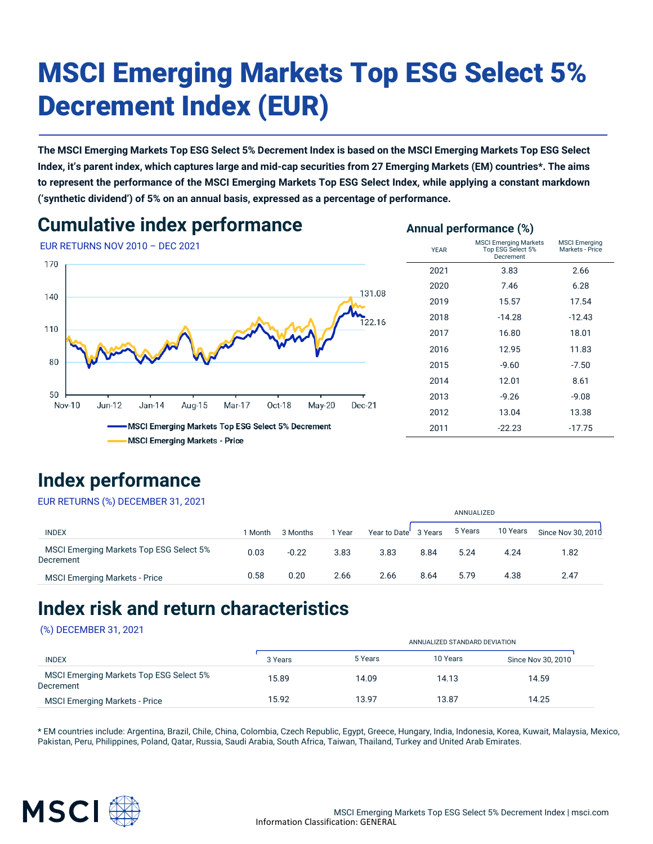# MSCI Emerging Markets Top ESG Select 5% Decrement Index (EUR)

**The MSCI Emerging Markets Top ESG Select 5% Decrement Index is based on the MSCI Emerging Markets Top ESG Select Index, it's parent index, which captures large and mid-cap securities from 27 Emerging Markets (EM) countries\*. The aims to represent the performance of the MSCI Emerging Markets Top ESG Select Index, while applying a constant markdown ('synthetic dividend') of 5% on an annual basis, expressed as a percentage of performance.**

### **Cumulative index performance**





**Annual performance (%)**

MSCI Emerging Markets - Price

|                                                                                      | Decrement |          |          |
|--------------------------------------------------------------------------------------|-----------|----------|----------|
| 70                                                                                   | 2021      | 3.83     | 2.66     |
| 131.08                                                                               | 2020      | 7.46     | 6.28     |
| 40                                                                                   | 2019      | 15.57    | 17.54    |
| 122.16                                                                               | 2018      | $-14.28$ | $-12.43$ |
| 10                                                                                   | 2017      | 16.80    | 18.01    |
|                                                                                      | 2016      | 12.95    | 11.83    |
| 80                                                                                   | 2015      | $-9.60$  | $-7.50$  |
|                                                                                      | 2014      | 12.01    | 8.61     |
| 50<br>Nov-10<br>$Jun-12$<br>Jan-14<br>May-20<br>Aug-15<br>Mar-17<br>Oct-18<br>Dec-21 | 2013      | $-9.26$  | $-9.08$  |
|                                                                                      | 2012      | 13.04    | 13.38    |
| MSCI Emerging Markets Top ESG Select 5% Decrement                                    | 2011      | $-22.23$ | $-17.75$ |
| <b>MSCI Emerging Markets - Price</b>                                                 |           |          |          |

### **Index performance**

EUR RETURNS (%) DECEMBER 31, 2021

|                                                      |         |          |        |                      |      | ANNUALIZED |          |                    |
|------------------------------------------------------|---------|----------|--------|----------------------|------|------------|----------|--------------------|
| <b>INDEX</b>                                         | l Month | 3 Months | 1 Year | Year to Date 3 Years |      | 5 Years    | 10 Years | Since Nov 30, 2010 |
| MSCI Emerging Markets Top ESG Select 5%<br>Decrement | 0.03    | $-0.22$  | 3.83   | 3.83                 | 8.84 | 5.24       | 4.24     | 1.82               |
| <b>MSCI Emerging Markets - Price</b>                 | 0.58    | 0.20     | 2.66   | 2.66                 | 8.64 | 5.79       | 4.38     | 2.47               |
|                                                      |         |          |        |                      |      |            |          |                    |

### **Index risk and return characteristics**

#### (%) DECEMBER 31, 2021

|                                                      |         | ANNUALIZED STANDARD DEVIATION |          |                    |  |  |
|------------------------------------------------------|---------|-------------------------------|----------|--------------------|--|--|
| <b>INDEX</b>                                         | 3 Years | 5 Years                       | 10 Years | Since Nov 30, 2010 |  |  |
| MSCI Emerging Markets Top ESG Select 5%<br>Decrement | 15.89   | 14.09                         | 14.13    | 14.59              |  |  |
| <b>MSCI Emerging Markets - Price</b>                 | 15.92   | 13.97                         | 13.87    | 14.25              |  |  |

\* EM countries include: Argentina, Brazil, Chile, China, Colombia, Czech Republic, Egypt, Greece, Hungary, India, Indonesia, Korea, Kuwait, Malaysia, Mexico, Pakistan, Peru, Philippines, Poland, Qatar, Russia, Saudi Arabia, South Africa, Taiwan, Thailand, Turkey and United Arab Emirates.